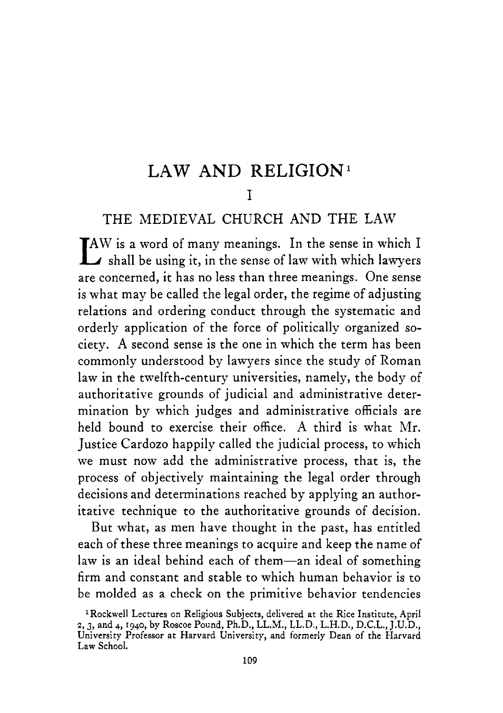# LAW **AND** RELIGION'

#### I

#### THE MEDIEVAL CHURCH AND THE LAW

IAW is a word of many meanings. In the sense in which I shall be using it, in the sense of law with which lawyers are concerned, it has no less than three meanings. One sense is what may be called the legal order, the regime of adjusting relations and ordering conduct through the systematic and orderly application of the force of politically organized society. **A** second sense is the one in which the term has been commonly understood by lawyers since the study of Roman law in the twelfth-century universities, namely, the body of authoritative grounds of judicial and administrative determination by which judges and administrative officials are held bound to exercise their office. **A** third is what Mr. Justice Cardozo happily called the judicial process, to which we must now add the administrative process, that is, the process of objectively maintaining the legal order through decisions and determinations reached by applying an authoritative technique to the authoritative grounds of decision.

But what, as men have thought in the past, has entitled each of these three meanings to acquire and keep the name of law is an ideal behind each of them-an ideal of something firm and constant and stable to which human behavior is to be molded as a check on the primitive behavior tendencies

<sup>&#</sup>x27;Rockwell Lectures on Religious Subjects, delivered at the Rice Institute, April *z,3,* and **4,1940,** by Roscoe Pound, Ph.D., LL.M., LL.D., L.H.D., D.C.L., J.U.D., University Professor at Harvard University, and formerly Dean of the Harvard Law School.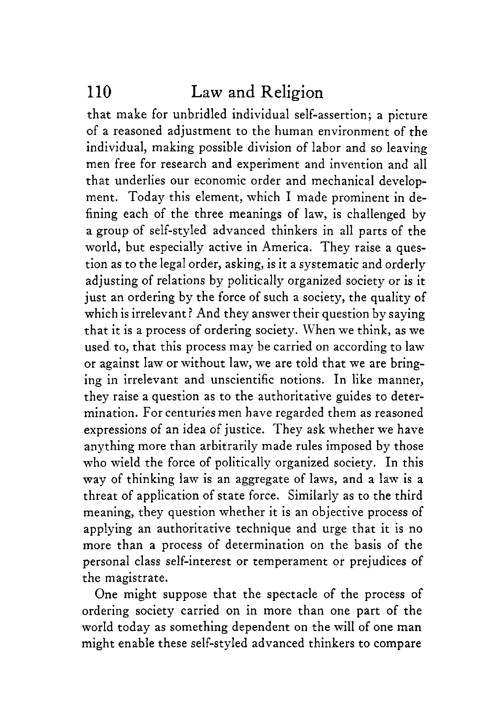that make for unbridled individual self-assertion; a picture of a reasoned adjustment to the human environment of the individual, making possible division of labor and so leaving men free for research and experiment and invention and all that underlies our economic order and mechanical development. Today this element, which I made prominent in defining each of the three meanings of law, is challenged by a group of self-styled advanced thinkers in all parts of the world, but especially active in America. They raise a question as to the legal order, asking, is it a systematic and orderly adjusting of relations by politically organized society or is it just an ordering by the force of such a society, the quality of which is irrelevant? And they answer their question by saying that it is a process of ordering society. When we think, as we used to, that this process may be carried on according to law or against law or without law, we are told that we are bringing in irrelevant and unscientific notions. In like manner, they raise a question as to the authoritative guides to determination. For centuries men have regarded them as reasoned expressions of an idea of justice. They ask whether we have anything more than arbitrarily made rules imposed by those who wield the force of politically organized society. In this way of thinking law is an aggregate of laws, and a law is **a**  threat of application of state force. Similarly as to the third meaning, they question whether it is an objective process of applying an authoritative technique and urge that it is no more than a process of determination on the basis of the personal class self-interest or temperament or prejudices of the magistrate.

One might suppose that the spectacle of the process of ordering society carried on in more than one part of the world today as something dependent on the will of one man might enable these self-styled advanced thinkers to compare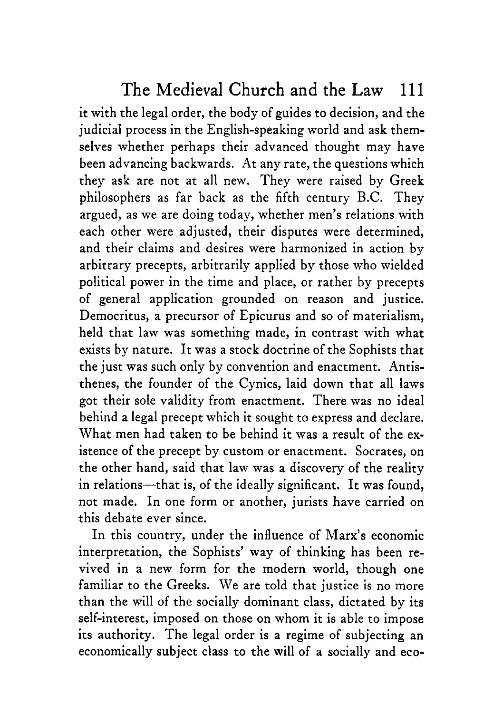it with the legal order, the body of guides to decision, and the judicial process in the English-speaking world and ask themselves whether perhaps their advanced thought may have been advancing backwards. At any rate, the questions which they ask are not at all new. They were raised by Greek philosophers as far back as the fifth century B.C. They argued, as we are doing today, whether men's relations with each other were adjusted, their disputes were determined, and their claims and desires were harmonized in action by arbitrary precepts, arbitrarily applied by those who wielded political power in the time and place, or rather by precepts of general application grounded on reason and justice. Democritus, a precursor of Epicurus and so of materialism, held that law was something made, in contrast with what exists by nature. It was a stock doctrine of the Sophists that the just was such only by convention and enactment. Antisthenes, the founder of the Cynics, laid down that all laws got their sole validity from enactment. There was no ideal behind a legal precept which it sought to express and declare. What men had taken to be behind it was a result of the existence of the precept by custom or enactment. Socrates, on the other hand, said that law was a discovery of the reality in relations-that is, of the ideally significant. It was found, not made. In one form or another, jurists have carried on this debate ever since.

In this country, under the influence of Marx's economic interpretation, the Sophists' way of thinking has been revived in a new form for the modern world, though one familiar to the Greeks. We are told that justice is no more than the will of the socially dominant class, dictated by its self-interest, imposed on those on whom it is able to impose its authority. The legal order is a regime of subjecting an economically subject class to the will of a socially and eco-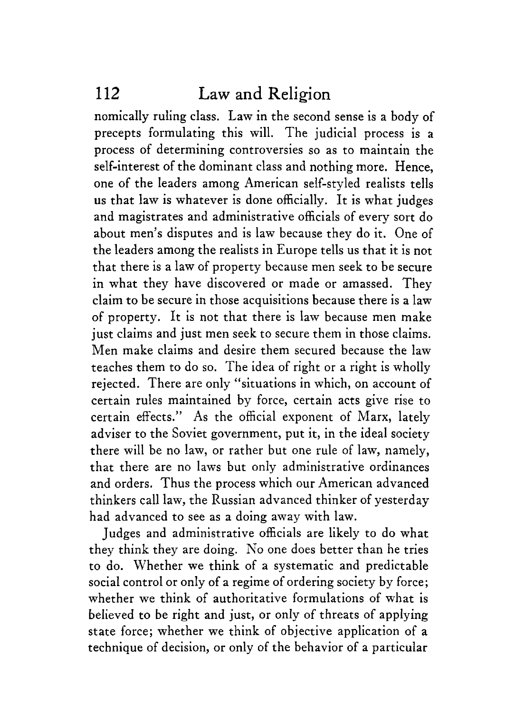nomically ruling class. Law in the second sense is a body of precepts formulating this will. The judicial process is a process of determining controversies so as to maintain the self-interest of the dominant class and nothing more. Hence, one of the leaders among American self-styled realists tells **us** that law is whatever is done officially. It is what judges and magistrates and administrative officials of every sort do about men's disputes and is law because they do it. One of the leaders among the realists in Europe tells us that it is not that there is a law of property because men seek to be secure in what they have discovered or made or amassed. They claim to be secure in those acquisitions because there is a law of property. It is not that there is law because men make just claims and just men seek to secure them in those claims. Men make claims and desire them secured because the law teaches them to do so. The idea of right or a right is wholly rejected. There are only "situations in which, on account of certain rules maintained by force, certain acts give rise to certain effects." As the official exponent of Marx, lately adviser to the Soviet government, put it, in the ideal society there will be no law, or rather but one rule of law, namely, that there are no laws but only administrative ordinances and orders. Thus the process which our American advanced thinkers call law, the Russian advanced thinker of yesterday had advanced to see as a doing away with law.

Judges and administrative officials are likely to do what they think they are doing. No one does better than he tries to do. Whether we think of **a** systematic and predictable social control or only of a regime of ordering society by force; whether we think of authoritative formulations of what is believed to be right and just, or only of threats of applying state force; whether we think of objective application of a technique of decision, or only of the behavior of a particular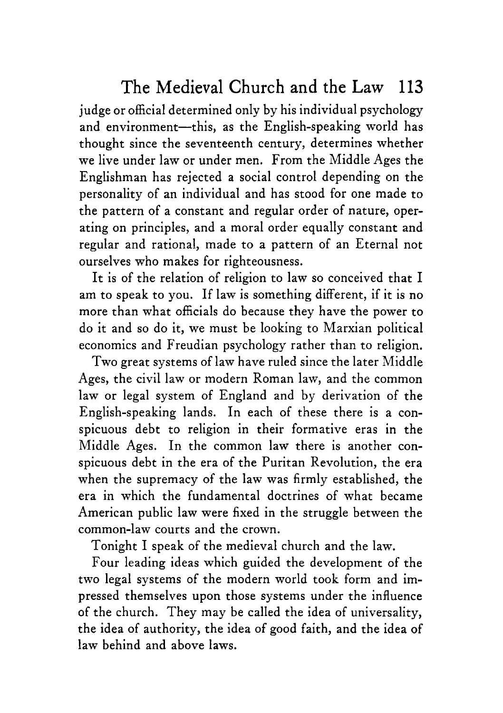judge or official determined only by his individual psychology and environment-this, as the English-speaking world has thought since the seventeenth century, determines whether we live under law or under men. From the Middle Ages the Englishman has rejected a social control depending on the personality of an individual and has stood for one made to the pattern of a constant and regular order of nature, operating on principles, and a moral order equally constant and regular and rational, made to a pattern of an Eternal not ourselves who makes for righteousness.

It is of the relation of religion to law so conceived that I am to speak to you. If law is something different, if it is no more than what officials do because they have the power to do it and so do it, we must be looking to Marxian political economics and Freudian psychology rather than to religion.

Two great systems of law have ruled since the later Middle Ages, the civil law or modern Roman law, and the common law or legal system of England and by derivation of the English-speaking lands. In each of these there is a conspicuous debt to religion in their formative eras in the Middle Ages. In the common law there is another conspicuous debt in the era of the Puritan Revolution, the era when the supremacy of the law was firmly established, the era in which the fundamental doctrines of what became American public law were fixed in the struggle between the common-law courts and the crown.

Tonight I speak of the medieval church and the law.

Four leading ideas which guided the development of the two legal systems of the modern world took form and impressed themselves upon those systems under the influence of the church. They may be called the idea of universality, the idea of authority, the idea of good faith, and the idea of law behind and above laws.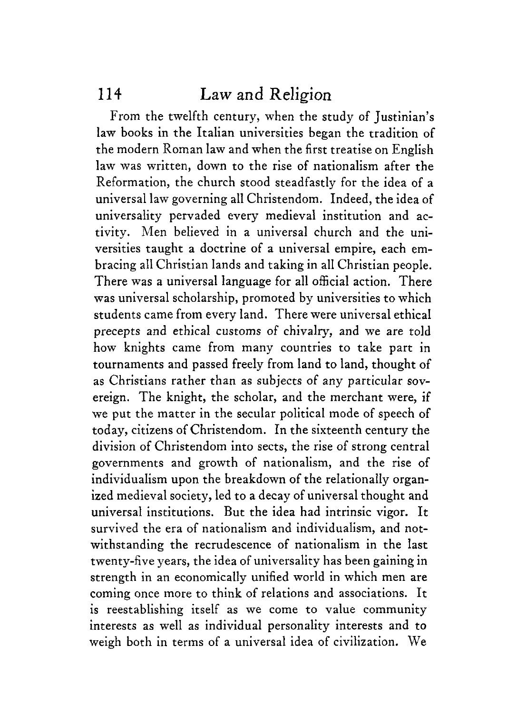From the twelfth century, when the study of Justinian's law books in the Italian universities began the tradition of the modern Roman law and when the first treatise on English law was written, down to the rise of nationalism after the Reformation, the church stood steadfastly for the idea of a universal law governing all Christendom. Indeed, the idea of universality pervaded every medieval institution and activity. Men believed in a universal church and the universities taught a doctrine of a universal empire, each embracing all Christian lands and taking in all Christian people. There was a universal language for all official action. There was universal scholarship, promoted by universities to which students came from every land. There were universal ethical precepts and ethical customs of chivalry, and we are told how knights came from many countries to take part in tournaments and passed freely from land to land, thought of as Christians rather than as subjects of any particular sovereign. The knight, the scholar, and the merchant were, if we put the matter in the secular political mode of speech of today, citizens of Christendom. In the sixteenth century the division of Christendom into sects, the rise of strong central governments and growth of nationalism, and the rise of individualism upon the breakdown of the relationally organized medieval society, led to a decay of universal thought and universal institutions, But the idea had intrinsic vigor. It survived the era of nationalism and individualism, and notwithstanding the recrudescence of nationalism in the last twenty-five years, the idea of universality has been gaining in strength in an economically unified world in which men are coming once more to think of relations and associations. It is reestablishing itself as we come to value community interests as well as individual personality interests and to weigh both in terms of a universal idea of civilization. We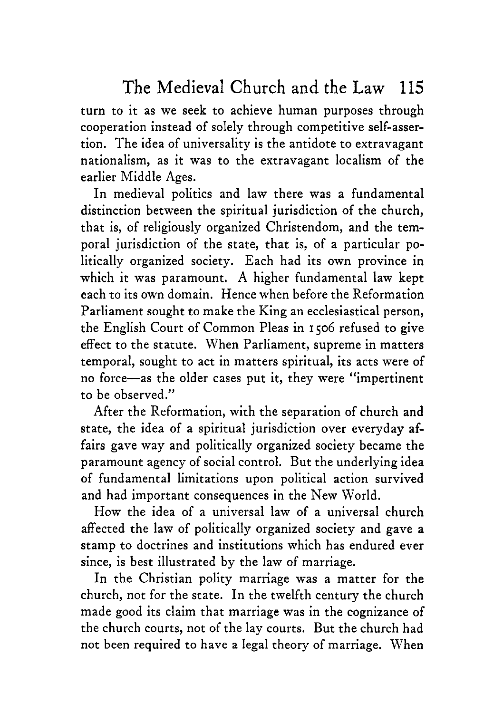turn to it as we seek to achieve human purposes through cooperation instead of solely through competitive self-assertion. The idea of universality is the antidote to extravagant nationalism, as it was to the extravagant localism of the earlier Middle Ages.

In medieval politics and law there was a fundamental distinction between the spiritual jurisdiction of the church, that is, of religiously organized Christendom, and the temporal jurisdiction of the state, that is, of a particular politically organized society. Each had its own province in which it was paramount. **A** higher fundamental law kept each to its own domain. Hence when before the Reformation Parliament sought to make the King an ecclesiastical person, the English Court of Common Pleas in **1506** refused to give effect to the statute. When Parliament, supreme in matters temporal, sought to act in matters spiritual, its acts were of no force-as the older cases put it, they were "impertinent to be observed."

After the Reformation, with the separation of church and state, the idea of a spiritual jurisdiction over everyday affairs gave way and politically organized society became the paramount agency of social control. But the underlying idea of fundamental limitations upon political action survived and had important consequences in the New World.

How the idea of a universal law of a universal church affected the law of politically organized society and gave a stamp to doctrines and institutions which has endured ever since, is best illustrated by the law of marriage.

In the Christian polity marriage was a matter for the church, not for the state. In the twelfth century the church made good its claim that marriage was in the cognizance of the church courts, not of the lay courts. But the church had not been required to have a legal theory of marriage. When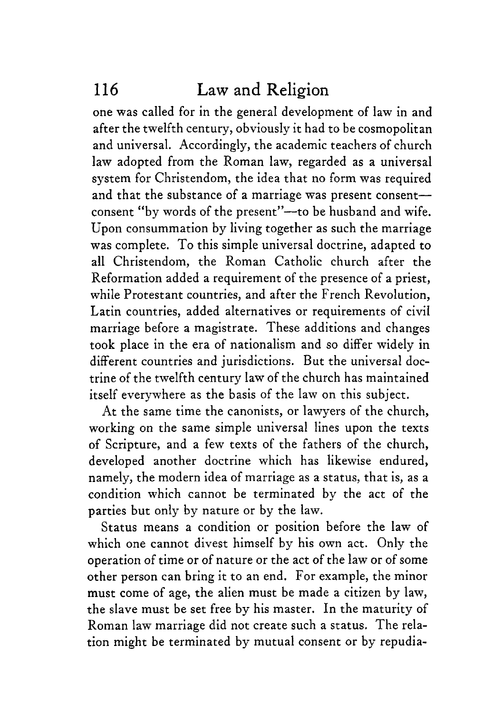one was called for in the general development of law in and after the twelfth century, obviously it had to be cosmopolitan and universal. Accordingly, the academic teachers of church law adopted from the Roman law, regarded as a universal system for Christendom, the idea that no form was required and that the substance of a marriage was present consentconsent "by words of the present"--to be husband and wife. Upon consummation by living together as such the marriage was complete. To this simple universal doctrine, adapted to all Christendom, the Roman Catholic church after the Reformation added a requirement of the presence of a priest, while Protestant countries, and after the French Revolution, Latin countries, added alternatives or requirements of civil marriage before a magistrate. These additions and changes took place in the era of nationalism and so differ widely in different countries and jurisdictions. But the universal doctrine of the twelfth century law of the church has maintained itself everywhere as the basis of the law on this subject.

At the same time the canonists, or lawyers of the church, working on the same simple universal lines upon the texts of Scripture, and a few texts of the fathers of the church, developed another doctrine which has likewise endured, namely, the modern idea of marriage as a status, that is, as a condition which cannot be terminated by the act of the parties but only by nature or by the law.

Status means a condition or position before the law of which one cannot divest himself by his own act. Only the operation of time or of nature or the act of the law or of some other person can bring it to an end. For example, the minor must come of age, the alien must be made a citizen by law, the slave must be set free by his master. In the maturity of Roman law marriage did not create such a status. The relation might be terminated by mutual consent or by repudia-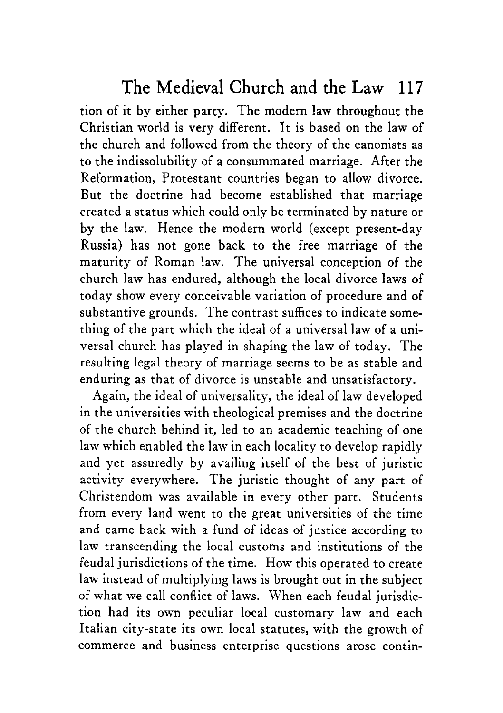tion of it by either party. The modern law throughout the Christian world is very different. It is based on the law of the church and followed from the theory of the canonists as to the indissolubility of a consummated marriage. After the Reformation, Protestant countries began to allow divorce. But the doctrine had become established that marriage created a status which could only be terminated by nature or by the law. Hence the modern world (except present-day Russia) has not gone back to the free marriage of the maturity of Roman law. The universal conception of the church law has endured, although the local divorce laws of today show every conceivable variation of procedure and of substantive grounds. The contrast suffices to indicate something of the part which the ideal of a universal law of a universal church has played in shaping the law of today. The resulting legal theory of marriage seems to be as stable and enduring as that of divorce is unstable and unsatisfactory.

Again, the ideal of universality, the ideal of law developed in the universities with theological premises and the doctrine of the church behind it, led to an academic teaching of one law which enabled the law in each locality to develop rapidly and yet assuredly by availing itself of the best of juristic activity everywhere. The juristic thought of any part of Christendom was available in every other part. Students from every land went to the great universities of the time and came back with a fund of ideas of justice according to law transcending the local customs and institutions of the feudal jurisdictions of the time. How this operated to create law instead of multiplying laws is brought out in the subject of what we call conflict of laws. When each feudal jurisdiction had its own peculiar local customary law and each Italian city-state its own local statutes, with the growth of commerce and business enterprise questions arose contin-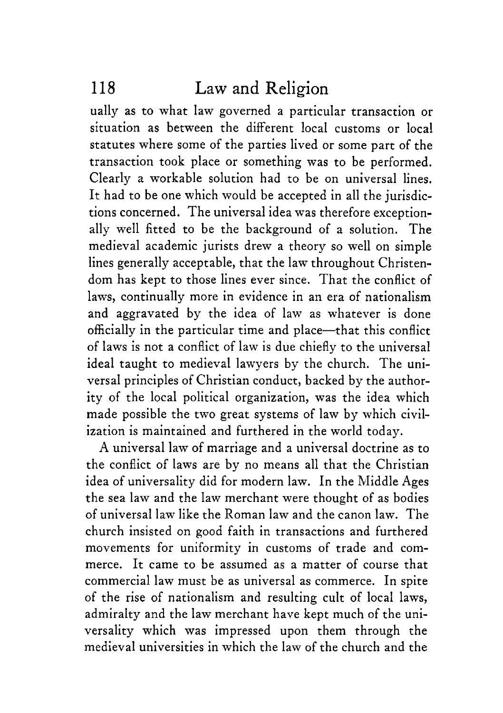ually as to what law governed a particular transaction or situation as between the different local customs or local statutes where some of the parties lived or some part of the transaction took place or something was to be performed, Clearly a workable solution had to be on universal lines, It had to be one which would be accepted in all the jurisdictions concerned. The universal idea was therefore exceptionally well fitted to be the background of a solution. The medieval academic jurists drew a theory so well on simple lines generally acceptable, that the law throughout Christendom has kept to those lines ever since. That the conflict of laws, continually more in evidence in an era of nationalism and aggravated by the idea of law as whatever is done officially in the particular time and place-that this conflict of laws is not a conflict of law is due chiefly to the universal ideal taught to medieval lawyers by the church. The universal principles of Christian conduct, backed by the authority of the local political organization, was the idea which made possible the two great systems of law by which civilization is maintained and furthered in the world today.

**A** universal law of marriage and a universal doctrine as to the conflict of laws are by no means all that the Christian idea of universality did for modern law. In the Middle Ages the sea law and the law merchant were thought of as bodies of universal law like the Roman law and the canon law. The church insisted on good faith in transactions and furthered movements for uniformity in customs of trade and commerce. It came to be assumed as a matter of course that commercial law must be as universal as commerce. In spite of the rise of nationalism and resulting cult of local laws, admiralty and the law merchant have kept much of the universality which was impressed upon them through the medieval universities in which the law of the church and the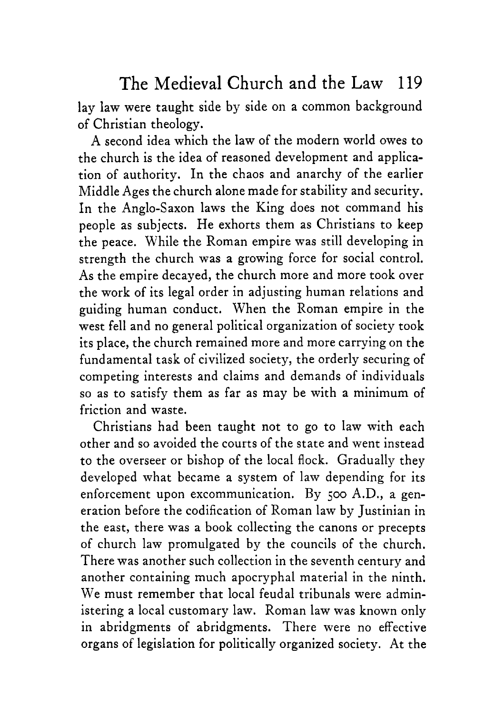lay law were taught side by side on a common background of Christian theology.

**A** second idea which the law of the modern world owes to the church is the idea of reasoned development and application of authority. In the chaos and anarchy of the earlier Middle Ages the church alone made for stability and security. In the Anglo-Saxon laws the King does not command his people as subjects. He exhorts them as Christians to keep the peace, While the Roman empire was still developing in strength the church was a growing force for social control. As the empire decayed, the church more and more took over the work of its legal order in adjusting human relations and guiding human conduct. When the Roman empire in the west fell and no general political organization of society took its place, the church remained more and more carrying on the fundamental task of civilized society, the orderly securing of competing interests and claims and demands of individuals so as to satisfy them as far as may be with a minimum of friction and waste.

Christians had been taught not to go to law with each other and so avoided the courts of the state and went instead to the overseer or bishop of the local flock. Gradually they developed what became a system of law depending for its enforcement upon excommunication. By *500* A.D., a generation before the codification of Roman law by Justinian in the east, there was a book collecting the canons or precepts of church law promulgated by the councils of the church. There was another such collection in the seventh century and another containing much apocryphal material in the ninth. We must remember that local feudal tribunals were administering a local customary law. Roman law was known only in abridgments of abridgments. There were no effective organs of legislation for politically organized society. At the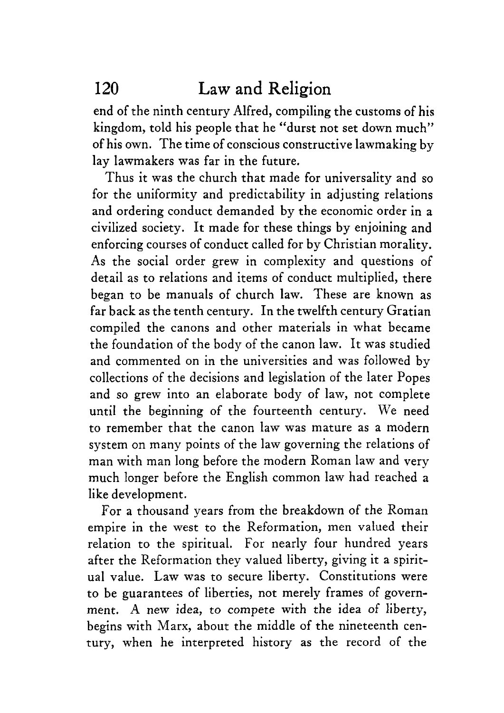end of the ninth century Alfred, compiling the customs of his kingdom, told his people that he "durst not set down much" of his own. The time of conscious constructive lawmaking by lay lawmakers was far in the future.

Thus it was the church that made for universality and so for the uniformity and predictability in adjusting relations and ordering conduct demanded by the economic order in a civilized society. It made for these things by enjoining and enforcing courses of conduct called for by Christian morality. **As** the social order grew in complexity and questions of detail as to relations and items of conduct multiplied, there began to be manuals of church law. These are known as far back as the tenth century. In the twelfth century Gratian compiled the canons and other materials in what became the foundation of the body of the canon law. It was studied and commented on in the universities and was followed by collections of the decisions and legislation of the later Popes and so grew into an elaborate body of law, not complete until the beginning of the fourteenth century. We need to remember that the canon law was mature as a modern system on many points of the law governing the relations of man with man long before the modern Roman law and very much longer before the English common law had reached a like development.

For a thousand years from the breakdown of the Roman empire in the west to the Reformation, men valued their relation to the spiritual. For nearly four hundred years after the Reformation they valued liberty, giving it a spiritual value. Law was to secure liberty. Constitutions were to be guarantees of liberties, not merely frames of government. **A** new idea, to compete with the idea of liberty, begins with Marx, about the middle of the nineteenth century, when he interpreted history as the record of the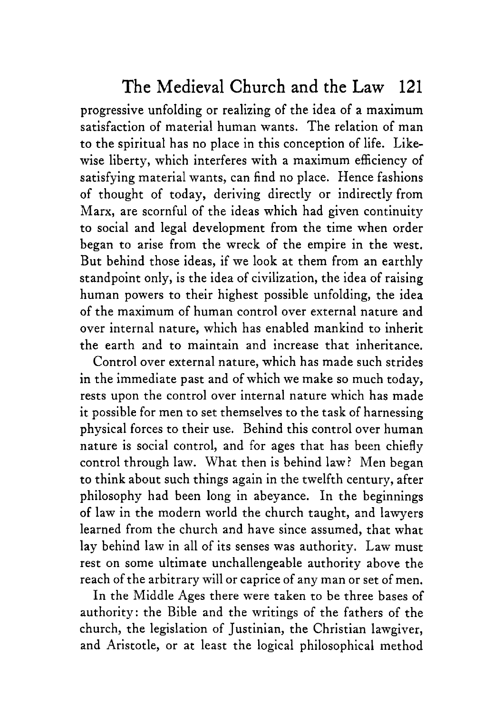progressive unfolding or realizing of the idea of a maximum satisfaction of material human wants. The relation of man to the spiritual has no place in this conception of life. Likewise liberty, which interferes with a maximum efficiency of satisfying material wants, can find no place. Hence fashions of thought of today, deriving directly or indirectly from Marx, are scornful of the ideas which had given continuity to social and legal development from the time when order began to arise from the wreck of the empire in the west. But behind those ideas, if we look at them from an earthly standpoint only, is the idea of civilization, the idea of raising human powers to their highest possible unfolding, the idea of the maximum of human control over external nature and over internal nature, which has enabled mankind to inherit the earth and to maintain and increase that inheritance.

Control over external nature, which has made such strides in the immediate past and of which we make so much today, rests upon the control over internal nature which has made it possible for men to set themselves to the task of harnessing physical forces to their use. Behind this control over human nature is social control, and for ages that has been chiefly control through law. What then is behind law? Men began to think about such things again in the twelfth century, after philosophy had been long in abeyance. In the beginnings of law in the modern world the church taught, and lawyers learned from the church and have since assumed, that what lay behind law in all of its senses was authority. Law must rest on some ultimate unchallengeable authority above the reach of the arbitrary will or caprice of any man or set of men.

In the Middle Ages there were taken to be three bases of authority: the Bible and the writings of the fathers of the church, the legislation of Justinian, the Christian lawgiver, and Aristotle, or at least the logical philosophical method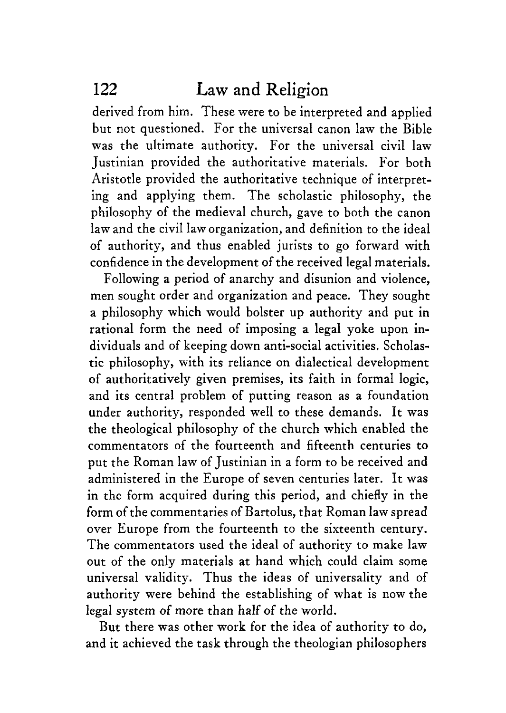derived from him. These were to be interpreted and applied but not questioned. For the universal canon law the Bible was the ultimate authority. For the universal civil law Justinian provided the authoritative materials. For both Aristotle provided the authoritative technique of interpreting and applying them. The scholastic philosophy, the philosophy of the medieval church, gave to both the canon law and the civil law organization, and definition to the ideal of authority, and thus enabled jurists to go forward with confidence in the development of the received legal materials.

Following a period of anarchy and disunion and violence, men sought order and organization and peace. They sought a philosophy which would bolster up authority and put in rational form the need of imposing a legal yoke upon individuals and of keeping down anti-social activities. Scholastic philosophy, with its reliance on dialectical development of authoritatively given premises, its faith in formal logic, and its central problem of putting reason as a foundation under authority, responded well to these demands. It was the theological philosophy of the church which enabled the commentators of the fourteenth and fifteenth centuries to put the Roman law of Justinian in a form to be received and administered in the Europe of seven centuries later. It was in the form acquired during this period, and chiefly in the form of the commentaries of Bartolus, that Roman law spread over Europe from the fourteenth to the sixteenth century. The commentators used the ideal of authority to make law out of the only materials at hand which could claim some universal validity. Thus the ideas of universality and of authority were behind the establishing of what is now the legal system of more than **half** of the world.

But there was other work for the idea of authority to do, and it achieved the task through the theologian philosophers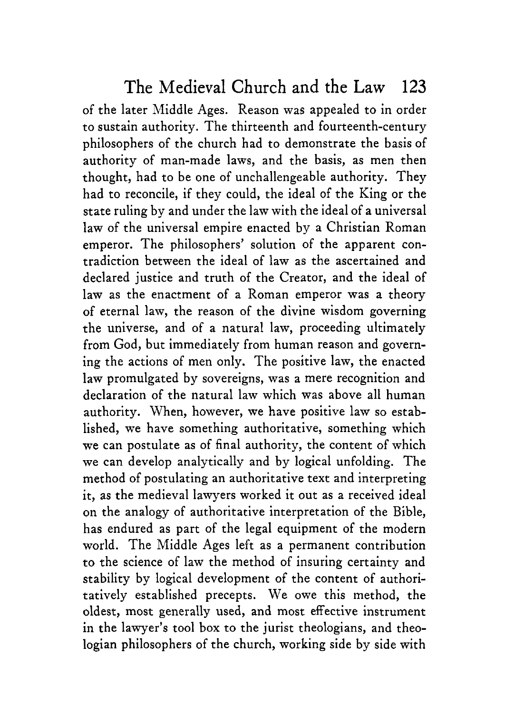of the later Middle Ages. Reason was appealed to in order to sustain authority. The thirteenth and fourteenth-century philosophers of the church had to demonstrate the basis of authority of man-made laws, and the basis, as men then thought, had to be one of unchallengeable authority. They had to reconcile, if they could, the ideal of the King or the state ruling by and under the law with the ideal of a universal law of the universal empire enacted by a Christian Roman emperor. The philosophers' solution of the apparent contradiction between the ideal of law as the ascertained and declared justice and truth of the Creator, and the ideal of law as the enactment of a Roman emperor was a theory of eternal law, the reason of the divine wisdom governing the universe, and of a natural law, proceeding ultimately from God, but immediately from human reason and governing the actions of men only. The positive law, the enacted law promulgated by sovereigns, was a mere recognition and declaration of the natural law which was above all human authority. When, however, we have positive law so established, we have something authoritative, something which we can postulate as of final authority, the content of which we can develop analytically and by logical unfolding. The method of postulating an authoritative text and interpreting it, as the medieval lawyers worked it out as a received ideal on the analogy of authoritative interpretation of the Bible, has endured as part of the legal equipment of the modern world. The Middle Ages left as a permanent contribution to the science of law the method of insuring certainty and stability by logical development of the content of authoritatively established precepts. We owe this method, the oldest, most generally used, and most effective instrument in the lawyer's tool box to the jurist theologians, and theologian philosophers of the church, working side by side with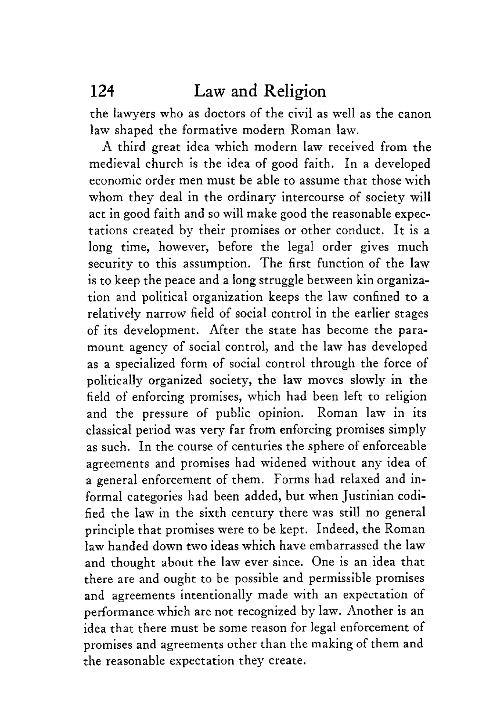the lawyers who as doctors of the civil as well as the canon law shaped the formative modern Roman law.

A third great idea which modern law received from the medieval church is the idea of good faith. In a developed economic order men must be able to assume that those with whom they deal in the ordinary intercourse of society will act in good faith and so will make good the reasonable expectations created by their promises or other conduct. It is a long time, however, before the legal order gives much security to this assumption. The first function of the law is to keep the peace and a long struggle between kin organization and political organization keeps the law confined to a relatively narrow field of social control in the earlier stages of its development. After the state has become the paramount agency of social control, and the law has developed as a specialized form of social control through the force of politically organized society, the law moves slowly in the field of enforcing promises, which had been left to religion and the pressure of public opinion. Roman law in its classical period was very far from enforcing promises simply as such. In the course of centuries the sphere of enforceable agreements and promises had widened without any idea of a general enforcement of them. Forms had relaxed and informal categories had been added, but when Justinian codified the law in the sixth century there was still no general principle that promises were to be kept. Indeed, the Roman **law** handed down two ideas which have embarrassed the law and thought about the law ever since. One is an idea that there are and ought to be possible and permissible promises and agreements intentionally made with an expectation of performance which are not recognized by law. Another is an idea that there must be some reason for legal enforcement of promises and agreements other than the making of them and the reasonable expectation they create.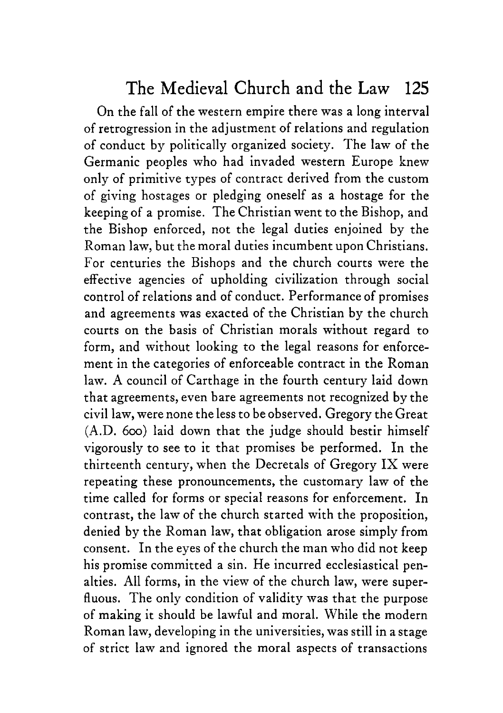On the fall of the western empire there was a long interval of retrogression in the adjustment of relations and regulation of conduct by politically organized society. The law of the Germanic peoples who had invaded western Europe knew only of primitive types of contract derived from the custom of giving hostages or pledging oneself as a hostage for the keeping of a promise. The Christian went to the Bishop, and the Bishop enforced, not the legal duties enjoined by the Roman law, but the moral duties incumbent upon Christians. For centuries the Bishops and the church courts were the effective agencies of upholding civilization through social control of relations and of conduct. Performance of promises and agreements was exacted of the Christian by the church courts on the basis of Christian morals without regard to form, and without looking to the legal reasons for enforcement in the categories of enforceable contract in the Roman law. **A** council of Carthage in the fourth century laid down that agreements, even bare agreements not recognized by the civil law, were none the less to be observed. Gregory the Great (A.D. *600)* laid down that the judge should bestir himself vigorously to see to it that promises be performed. In the thirteenth century, when the Decretals of Gregory IX were repeating these pronouncements, the customary law of the time called for forms or special reasons for enforcement. In contrast, the law of the church started with the proposition, denied by the Roman law, that obligation arose simply from consent. In the eyes of the church the man who did not keep his promise committed a sin. He incurred ecclesiastical penalties. All forms, in the view of the church law, were superfluous. The only condition of validity was that the purpose of making it should be lawful and moral. While the modern Roman law, developing in the universities, was still in a stage of strict law and ignored the moral aspects of transactions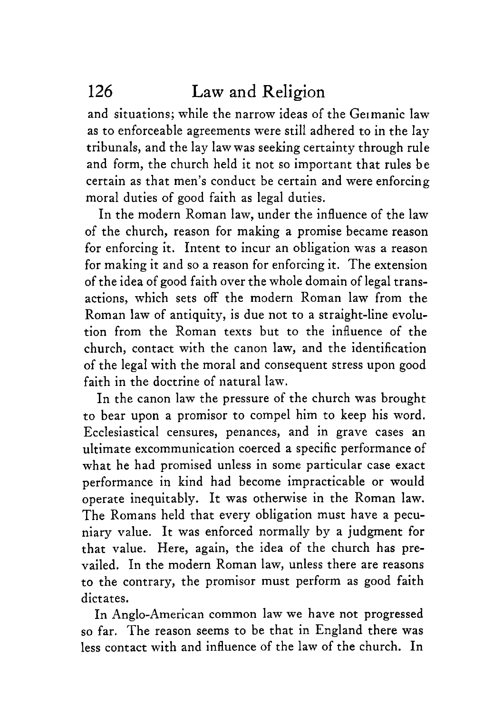and situations; while the narrow ideas of the Geimanic law as to enforceable agreements were still adhered to in the lay tribunals, and the lay law was seeking certainty through rule and form, the church held it not so important that rules be certain as that men's conduct be certain and were enforcing moral duties of good faith as legal duties.

In the modern Roman law, under the influence of the law of the church, reason for making a promise became reason for enforcing it. Intent to incur an obligation was a reason for making it and so a reason for enforcing it. The extension of the idea of good faith over the whole domain of legal transactions, which sets off the modern Roman law from the Roman law of antiquity, is due not to a straight-line evolution from the Roman texts but to the influence of the church, contact with the canon law, and the identification of the legal with the moral and consequent stress upon good faith in the doctrine of natural law.

In the canon law the pressure of the church was brought to bear upon a promisor to compel him to keep his word. Ecclesiastical censures, penances, and in grave cases an ultimate excommunication coerced a specific performance of what he had promised unless in some particular case exact performance in kind had become impracticable or would operate inequitably. It was otherwise in the Roman law. The Romans held that every obligation must have a pecuniary value. It was enforced normally by a judgment for that value. Here, again, the idea of the church has prevailed. In the modern Roman law, unless there are reasons to the contrary, the promisor must perform as good faith dictates.

In Anglo-American common law we have not progressed so far, The reason seems to be that in England there was less contact with and influence of the law of the church. In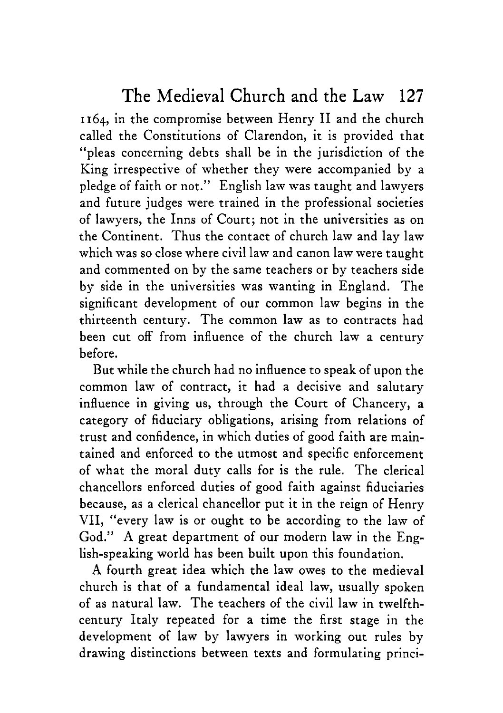**1164,** in the compromise between Henry I1 and the church called the Constitutions of Clarendon, it is provided that "pleas concerning debts shall be in the jurisdiction of the King irrespective of whether they were accompanied by a pledge of faith or not." English law was taught and lawyers and future judges were trained in the professional societies of lawyers, the Inns of Court; not in the universities as on the Continent. Thus the contact of church law and lay law which was so close where civil law and canon law were taught and commented on by the same teachers or by teachers side by side in the universities was wanting in England. The significant development of our common law begins in the thirteenth century. The common law as to contracts had been cut off from influence of the church law a century before.

But while the church had no influence to speak of upon the common law of contract, it had a decisive and salutary influence in giving us, through the Court of Chancery, a category of fiduciary obligations, arising from relations of trust and confidence, in which duties of good faith are maintained and enforced to the utmost and specific enforcement of what the moral duty calls for is the rule. The clerical chancellors enforced duties of good faith against fiduciaries because, as a clerical chancellor put it in the reign of Henry VII, "every law is or ought to be according to the law of God." **A** great department of our modern law in the English-speaking world has been built upon this foundation.

**A** fourth great idea which the **law** owes to the medieval church is that of a fundamental ideal law, usually spoken of as natural law. The teachers of the civil law in twelfthcentury Italy repeated for a time the first stage in the development of law by lawyers in working out rules by drawing distinctions between texts and formulating princi-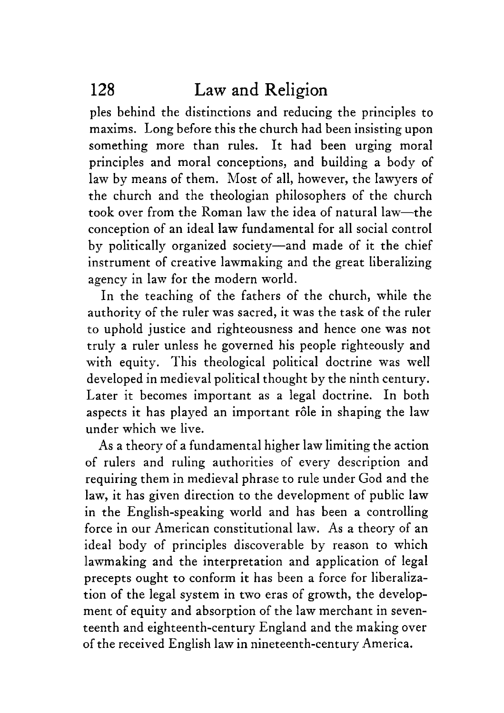ples behind the distinctions and reducing the principles to maxims. Long before this the church had been insisting upon something more than rules. It had been urging moral principles and moral conceptions, and building a body of law by means of them. Most of all, however, the lawyers of the church and the theologian philosophers of the church took over from the Roman law the idea of natural law-the conception of an ideal law fundamental for all social control by politically organized society-and made of it the chief instrument of creative lawmaking and the great liberalizing agency in law for the modern world.

In the teaching of the fathers of the church, while the authority of the ruler was sacred, it was the task of the ruler to uphold justice and righteousness and hence one was not truly a ruler unless he governed his people righteously and with equity. This theological political doctrine was well developed in medieval political thought by the ninth century. Later it becomes important as a legal doctrine. In both aspects it has played an important rôle in shaping the law under which we live.

As a theory of a fundamental higher law limiting the action of rulers and ruling authorities of every description and requiring them in medieval phrase to rule under God and the law, it has given direction to the development of public law in the English-speaking world and has been a controlling force in our American constitutional law. **As** a theory of an ideal body of principles discoverable by reason to which lawmaking and the interpretation and application of legal precepts ought to conform it has been a force for liberalization of the legal system in two eras of growth, the development of equity and absorption of the law merchant in seventeenth and eighteenth-century England and the making over of the received English law in nineteenth-century America.